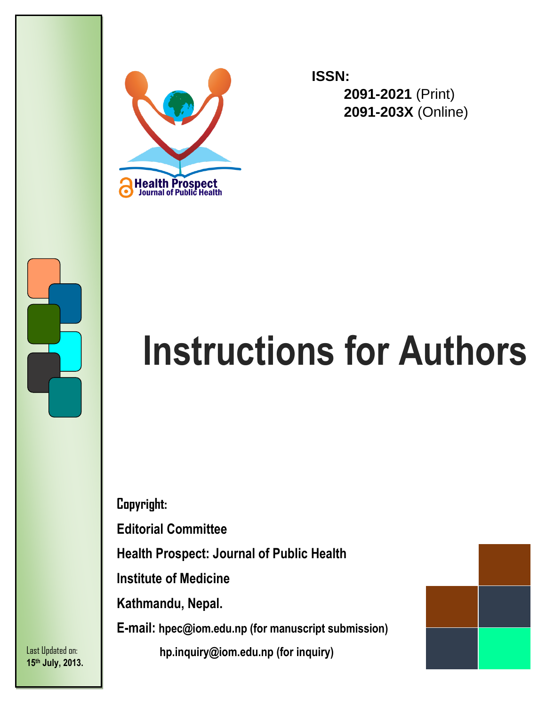



**ISSN: 2091-2021** (Print) **2091-203X** (Online)

# **Instructions for Authors**

**Copyright:**

**Editorial Committee**

**Health Prospect: Journal of Public Health**

**Institute of Medicine**

**Kathmandu, Nepal.**

**E-mail: hpec@iom.edu.np (for manuscript submission)**

 **hp.inquiry@iom.edu.np (for inquiry)**

Last Updated on: **15 th July, 2013.**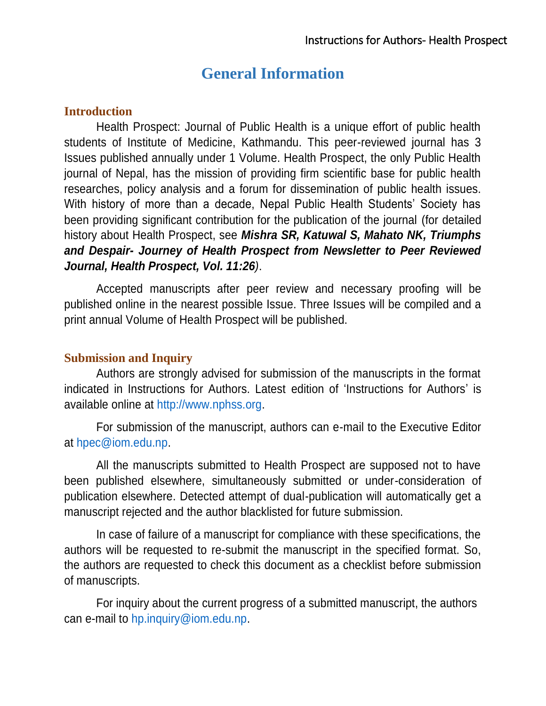## **General Information**

#### **Introduction**

Health Prospect: Journal of Public Health is a unique effort of public health students of Institute of Medicine, Kathmandu. This peer-reviewed journal has 3 Issues published annually under 1 Volume. Health Prospect, the only Public Health journal of Nepal, has the mission of providing firm scientific base for public health researches, policy analysis and a forum for dissemination of public health issues. With history of more than a decade, Nepal Public Health Students' Society has been providing significant contribution for the publication of the journal (for detailed history about Health Prospect, see *Mishra SR, Katuwal S, Mahato NK, Triumphs and Despair- Journey of Health Prospect from Newsletter to Peer Reviewed Journal, Health Prospect, Vol. 11:26)*.

Accepted manuscripts after peer review and necessary proofing will be published online in the nearest possible Issue. Three Issues will be compiled and a print annual Volume of Health Prospect will be published.

#### **Submission and Inquiry**

Authors are strongly advised for submission of the manuscripts in the format indicated in Instructions for Authors. Latest edition of 'Instructions for Authors' is available online at [http://www.nphss.org.](http://www.nphss.org/)

For submission of the manuscript, authors can e-mail to the Executive Editor at [hpec@iom.edu.np.](mailto:hpec@iom.edu.np)

All the manuscripts submitted to Health Prospect are supposed not to have been published elsewhere, simultaneously submitted or under-consideration of publication elsewhere. Detected attempt of dual-publication will automatically get a manuscript rejected and the author blacklisted for future submission.

In case of failure of a manuscript for compliance with these specifications, the authors will be requested to re-submit the manuscript in the specified format. So, the authors are requested to check this document as a checklist before submission of manuscripts.

For inquiry about the current progress of a submitted manuscript, the authors can e-mail to [hp.inquiry@iom.edu.np.](mailto:hp.inquiry@iom.edu.np)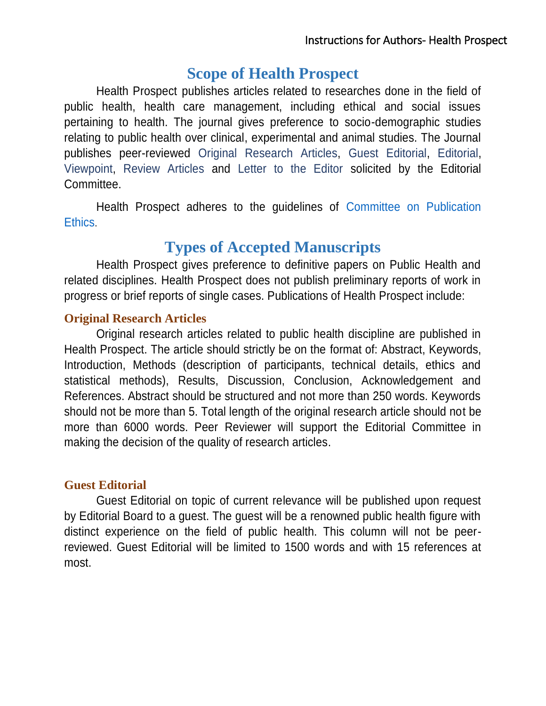# **Scope of Health Prospect**

Health Prospect publishes articles related to researches done in the field of public health, health care management, including ethical and social issues pertaining to health. The journal gives preference to socio-demographic studies relating to public health over clinical, experimental and animal studies. The Journal publishes peer-reviewed Original [Research Articles,](#page-2-0) [Guest Editorial,](#page-2-1) [Editorial,](#page-3-0) [Viewpoint,](#page-3-1) [Review Articles](#page-3-2) and [Letter to the Editor](#page-3-3) solicited by the Editorial Committee.

Health Prospect adheres to the guidelines of [Committee on Publication](http://www.publicationethics.org/)  [Ethics](http://www.publicationethics.org/).

## **Types of Accepted Manuscripts**

Health Prospect gives preference to definitive papers on Public Health and related disciplines. Health Prospect does not publish preliminary reports of work in progress or brief reports of single cases. Publications of Health Prospect include:

#### <span id="page-2-0"></span>**Original Research Articles**

Original research articles related to public health discipline are published in Health Prospect. The article should strictly be on the format of: Abstract, Keywords, Introduction, Methods (description of participants, technical details, ethics and statistical methods), Results, Discussion, Conclusion, Acknowledgement and References. Abstract should be structured and not more than 250 words. Keywords should not be more than 5. Total length of the original research article should not be more than 6000 words. Peer Reviewer will support the Editorial Committee in making the decision of the quality of research articles.

#### <span id="page-2-1"></span>**Guest Editorial**

Guest Editorial on topic of current relevance will be published upon request by Editorial Board to a guest. The guest will be a renowned public health figure with distinct experience on the field of public health. This column will not be peerreviewed. Guest Editorial will be limited to 1500 words and with 15 references at most.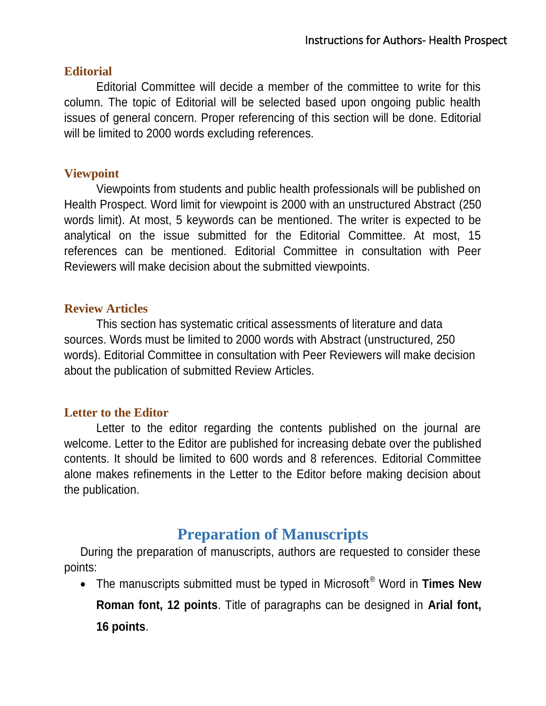#### <span id="page-3-0"></span>**Editorial**

Editorial Committee will decide a member of the committee to write for this column. The topic of Editorial will be selected based upon ongoing public health issues of general concern. Proper referencing of this section will be done. Editorial will be limited to 2000 words excluding references.

#### <span id="page-3-1"></span>**Viewpoint**

Viewpoints from students and public health professionals will be published on Health Prospect. Word limit for viewpoint is 2000 with an unstructured Abstract (250 words limit). At most, 5 keywords can be mentioned. The writer is expected to be analytical on the issue submitted for the Editorial Committee. At most, 15 references can be mentioned. Editorial Committee in consultation with Peer Reviewers will make decision about the submitted viewpoints.

#### <span id="page-3-2"></span>**Review Articles**

This section has systematic critical assessments of literature and data sources. Words must be limited to 2000 words with Abstract (unstructured, 250 words). Editorial Committee in consultation with Peer Reviewers will make decision about the publication of submitted Review Articles.

#### <span id="page-3-3"></span>**Letter to the Editor**

Letter to the editor regarding the contents published on the journal are welcome. Letter to the Editor are published for increasing debate over the published contents. It should be limited to 600 words and 8 references. Editorial Committee alone makes refinements in the Letter to the Editor before making decision about the publication.

## **Preparation of Manuscripts**

During the preparation of manuscripts, authors are requested to consider these points:

 The manuscripts submitted must be typed in Microsoft® Word in **Times New Roman font, 12 points**. Title of paragraphs can be designed in **Arial font, 16 points**.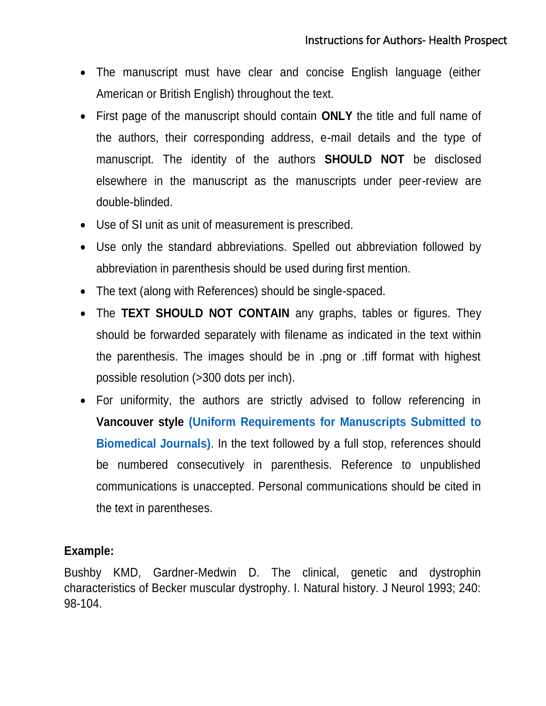- The manuscript must have clear and concise English language (either American or British English) throughout the text.
- First page of the manuscript should contain **ONLY** the title and full name of the authors, their corresponding address, e-mail details and the type of manuscript. The identity of the authors **SHOULD NOT** be disclosed elsewhere in the manuscript as the manuscripts under peer-review are double-blinded.
- Use of SI unit as unit of measurement is prescribed.
- Use only the standard abbreviations. Spelled out abbreviation followed by abbreviation in parenthesis should be used during first mention.
- The text (along with References) should be single-spaced.
- The **TEXT SHOULD NOT CONTAIN** any graphs, tables or figures. They should be forwarded separately with filename as indicated in the text within the parenthesis. The images should be in .png or .tiff format with highest possible resolution (>300 dots per inch).
- For uniformity, the authors are strictly advised to follow referencing in **Vancouver style [\(Uniform Requirements for Manuscripts Submitted to](http://www.icmje.org/urm_full.pdf)  [Biomedical Journals\)](http://www.icmje.org/urm_full.pdf)**. In the text followed by a full stop, references should be numbered consecutively in parenthesis. Reference to unpublished communications is unaccepted. Personal communications should be cited in the text in parentheses.

#### **Example:**

Bushby KMD, Gardner-Medwin D. The clinical, genetic and dystrophin characteristics of Becker muscular dystrophy. I. Natural history. J Neurol 1993; 240: 98-104.